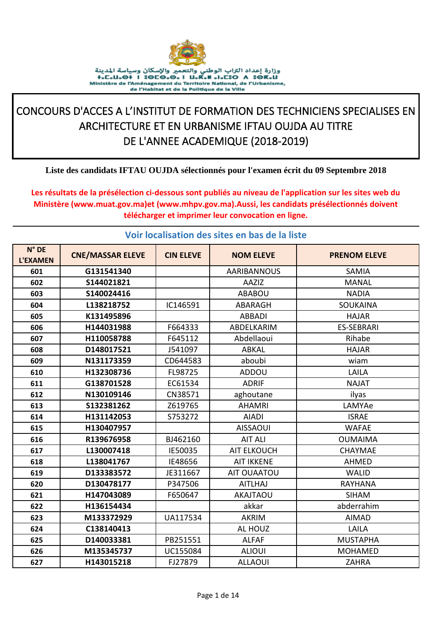

## CONCOURS D'ACCES A L'INSTITUT DE FORMATION DES TECHNICIENS SPECIALISES EN ARCHITECTURE ET EN URBANISME IFTAU OUJDA AU TITRE DE L'ANNEE ACADEMIQUE (2018-2019)

## Liste des candidats IFTAU OUJDA sélectionnés pour l'examen écrit du 09 Septembre 2018

Les résultats de la présélection ci-dessous sont publiés au niveau de l'application sur les sites web du Ministère (www.muat.gov.ma)et (www.mhpv.gov.ma).Aussi, les candidats présélectionnés doivent télécharger et imprimer leur convocation en ligne.

## Voir localisation des sites en bas de la liste

| $N^{\circ}$ DE<br><b>L'EXAMEN</b> | <b>CNE/MASSAR ELEVE</b> | <b>CIN ELEVE</b> | <b>NOM ELEVE</b>   | <b>PRENOM ELEVE</b> |
|-----------------------------------|-------------------------|------------------|--------------------|---------------------|
| 601                               | G131541340              |                  | <b>AARIBANNOUS</b> | <b>SAMIA</b>        |
| 602                               | S144021821              |                  | AAZIZ              | <b>MANAL</b>        |
| 603                               | S140024416              |                  | <b>ABABOU</b>      | <b>NADIA</b>        |
| 604                               | L138218752              | IC146591         | <b>ABARAGH</b>     | <b>SOUKAINA</b>     |
| 605                               | K131495896              |                  | <b>ABBADI</b>      | <b>HAJAR</b>        |
| 606                               | H144031988              | F664333          | ABDELKARIM         | <b>ES-SEBRARI</b>   |
| 607                               | H110058788              | F645112          | Abdellaoui         | Rihabe              |
| 608                               | D148017521              | J541097          | <b>ABKAL</b>       | <b>HAJAR</b>        |
| 609                               | N131173359              | CD644583         | aboubi             | wiam                |
| 610                               | H132308736              | FL98725          | ADDOU              | LAILA               |
| 611                               | G138701528              | EC61534          | <b>ADRIF</b>       | <b>NAJAT</b>        |
| 612                               | N130109146              | CN38571          | aghoutane          | ilyas               |
| 613                               | S132381262              | Z619765          | <b>AHAMRI</b>      | LAMYAe              |
| 614                               | H131142053              | S753272          | <b>AIADI</b>       | <b>ISRAE</b>        |
| 615                               | H130407957              |                  | <b>AISSAOUI</b>    | <b>WAFAE</b>        |
| 616                               | R139676958              | BJ462160         | <b>AIT ALI</b>     | <b>OUMAIMA</b>      |
| 617                               | L130007418              | IE50035          | <b>AIT ELKOUCH</b> | <b>CHAYMAE</b>      |
| 618                               | L138041767              | IE48656          | <b>AIT IKKENE</b>  | <b>AHMED</b>        |
| 619                               | D133383572              | JE311667         | AIT OUAATOU        | <b>WALID</b>        |
| 620                               | D130478177              | P347506          | <b>AITLHAJ</b>     | <b>RAYHANA</b>      |
| 621                               | H147043089              | F650647          | <b>AKAJTAOU</b>    | <b>SIHAM</b>        |
| 622                               | H136154434              |                  | akkar              | abderrahim          |
| 623                               | M133372929              | UA117534         | <b>AKRIM</b>       | <b>AIMAD</b>        |
| 624                               | C138140413              |                  | AL HOUZ            | LAILA               |
| 625                               | D140033381              | PB251551         | <b>ALFAF</b>       | <b>MUSTAPHA</b>     |
| 626                               | M135345737              | UC155084         | <b>ALIOUI</b>      | <b>MOHAMED</b>      |
| 627                               | H143015218              | FJ27879          | <b>ALLAOUI</b>     | <b>ZAHRA</b>        |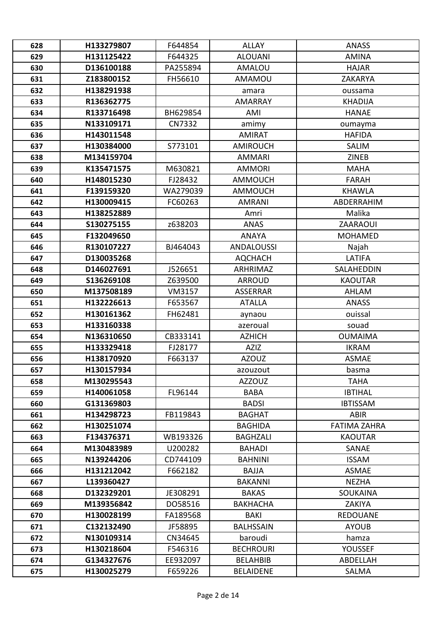| 628 | H133279807 | F644854  | <b>ALLAY</b>      | <b>ANASS</b>        |
|-----|------------|----------|-------------------|---------------------|
| 629 | H131125422 | F644325  | <b>ALOUANI</b>    | <b>AMINA</b>        |
| 630 | D136100188 | PA255894 | <b>AMALOU</b>     | <b>HAJAR</b>        |
| 631 | Z183800152 | FH56610  | <b>AMAMOU</b>     | ZAKARYA             |
| 632 | H138291938 |          | amara             | oussama             |
| 633 | R136362775 |          | <b>AMARRAY</b>    | <b>KHADIJA</b>      |
| 634 | R133716498 | BH629854 | AMI               | <b>HANAE</b>        |
| 635 | N133109171 | CN7332   | amimy             | oumayma             |
| 636 | H143011548 |          | <b>AMIRAT</b>     | <b>HAFIDA</b>       |
| 637 | H130384000 | S773101  | <b>AMIROUCH</b>   | <b>SALIM</b>        |
| 638 | M134159704 |          | <b>AMMARI</b>     | <b>ZINEB</b>        |
| 639 | K135471575 | M630821  | <b>AMMORI</b>     | <b>MAHA</b>         |
| 640 | H148015230 | FJ28432  | AMMOUCH           | <b>FARAH</b>        |
| 641 | F139159320 | WA279039 | <b>AMMOUCH</b>    | <b>KHAWLA</b>       |
| 642 | H130009415 | FC60263  | <b>AMRANI</b>     | ABDERRAHIM          |
| 643 | H138252889 |          | Amri              | Malika              |
| 644 | S130275155 | z638203  | <b>ANAS</b>       | <b>ZAARAOUI</b>     |
| 645 | F132049650 |          | <b>ANAYA</b>      | <b>MOHAMED</b>      |
| 646 | R130107227 | BJ464043 | <b>ANDALOUSSI</b> | Najah               |
| 647 | D130035268 |          | <b>AQCHACH</b>    | LATIFA              |
| 648 | D146027691 | J526651  | ARHRIMAZ          | SALAHEDDIN          |
| 649 | S136269108 | Z639500  | <b>ARROUD</b>     | <b>KAOUTAR</b>      |
| 650 | M137508189 | VM3157   | <b>ASSERRAR</b>   | AHLAM               |
| 651 | H132226613 | F653567  | <b>ATALLA</b>     | <b>ANASS</b>        |
| 652 | H130161362 | FH62481  | aynaou            | ouissal             |
| 653 | H133160338 |          | azeroual          | souad               |
| 654 | N136310650 | CB333141 | <b>AZHICH</b>     | <b>OUMAIMA</b>      |
| 655 | H133329418 | FJ28177  | <b>AZIZ</b>       | <b>IKRAM</b>        |
| 656 | H138170920 | F663137  | <b>AZOUZ</b>      | <b>ASMAE</b>        |
| 657 | H130157934 |          | azouzout          | basma               |
| 658 | M130295543 |          | <b>AZZOUZ</b>     | <b>TAHA</b>         |
| 659 | H140061058 | FL96144  | <b>BABA</b>       | <b>IBTIHAL</b>      |
| 660 | G131369803 |          | <b>BADSI</b>      | <b>IBTISSAM</b>     |
| 661 | H134298723 | FB119843 | <b>BAGHAT</b>     | <b>ABIR</b>         |
| 662 | H130251074 |          | <b>BAGHIDA</b>    | <b>FATIMA ZAHRA</b> |
| 663 | F134376371 | WB193326 | <b>BAGHZALI</b>   | <b>KAOUTAR</b>      |
| 664 | M130483989 | U200282  | <b>BAHADI</b>     | SANAE               |
| 665 | N139244206 | CD744109 | <b>BAHNINI</b>    | <b>ISSAM</b>        |
| 666 | H131212042 | F662182  | <b>BAJJA</b>      | <b>ASMAE</b>        |
| 667 | L139360427 |          | <b>BAKANNI</b>    | <b>NEZHA</b>        |
| 668 | D132329201 | JE308291 | <b>BAKAS</b>      | <b>SOUKAINA</b>     |
| 669 | M139356842 | DO58516  | <b>BAKHACHA</b>   | ZAKIYA              |
| 670 | H130028199 | FA189568 | <b>BAKI</b>       | <b>REDOUANE</b>     |
| 671 | C132132490 | JF58895  | <b>BALHSSAIN</b>  | <b>AYOUB</b>        |
| 672 | N130109314 | CN34645  | baroudi           | hamza               |
| 673 | H130218604 | F546316  | <b>BECHROURI</b>  | <b>YOUSSEF</b>      |
| 674 | G134327676 | EE932097 | <b>BELAHBIB</b>   | ABDELLAH            |
| 675 | H130025279 | F659226  | <b>BELAIDENE</b>  | SALMA               |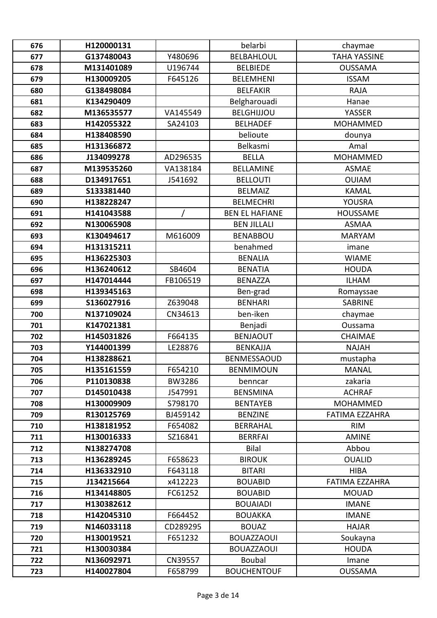| 676 | H120000131 |               | belarbi               | chaymae               |
|-----|------------|---------------|-----------------------|-----------------------|
| 677 | G137480043 | Y480696       | <b>BELBAHLOUL</b>     | <b>TAHA YASSINE</b>   |
| 678 | M131401089 | U196744       | <b>BELBIEDE</b>       | <b>OUSSAMA</b>        |
| 679 | H130009205 | F645126       | <b>BELEMHENI</b>      | <b>ISSAM</b>          |
| 680 | G138498084 |               | <b>BELFAKIR</b>       | <b>RAJA</b>           |
| 681 | K134290409 |               | Belgharouadi          | Hanae                 |
| 682 | M136535577 | VA145549      | <b>BELGHIJJOU</b>     | YASSER                |
| 683 | H142055322 | SA24103       | <b>BELHADEF</b>       | <b>MOHAMMED</b>       |
| 684 | H138408590 |               | belioute              | dounya                |
| 685 | H131366872 |               | Belkasmi              | Amal                  |
| 686 | J134099278 | AD296535      | <b>BELLA</b>          | <b>MOHAMMED</b>       |
| 687 | M139535260 | VA138184      | <b>BELLAMINE</b>      | <b>ASMAE</b>          |
| 688 | D134917651 | J541692       | <b>BELLOUTI</b>       | <b>OUIAM</b>          |
| 689 | S133381440 |               | <b>BELMAIZ</b>        | <b>KAMAL</b>          |
| 690 | H138228247 |               | <b>BELMECHRI</b>      | <b>YOUSRA</b>         |
| 691 | H141043588 |               | <b>BEN EL HAFIANE</b> | <b>HOUSSAME</b>       |
| 692 | N130065908 |               | <b>BEN JILLALI</b>    | <b>ASMAA</b>          |
| 693 | K130494617 | M616009       | <b>BENABBOU</b>       | <b>MARYAM</b>         |
| 694 | H131315211 |               | benahmed              | imane                 |
| 695 | H136225303 |               | <b>BENALIA</b>        | <b>WIAME</b>          |
| 696 | H136240612 | SB4604        | <b>BENATIA</b>        | <b>HOUDA</b>          |
| 697 | H147014444 | FB106519      | <b>BENAZZA</b>        | <b>ILHAM</b>          |
| 698 | H139345163 |               | Ben-grad              | Romayssae             |
| 699 | S136027916 | Z639048       | <b>BENHARI</b>        | <b>SABRINE</b>        |
| 700 | N137109024 | CN34613       | ben-iken              | chaymae               |
| 701 | K147021381 |               | Benjadi               | Oussama               |
| 702 | H145031826 | F664135       | <b>BENJAOUT</b>       | CHAIMAE               |
| 703 | Y144001399 | LE28876       | <b>BENKAJJA</b>       | <b>NAJAH</b>          |
| 704 | H138288621 |               | <b>BENMESSAOUD</b>    | mustapha              |
| 705 | H135161559 | F654210       | <b>BENMIMOUN</b>      | MANAL                 |
| 706 | P110130838 | <b>BW3286</b> | benncar               | zakaria               |
| 707 | D145010438 | J547991       | <b>BENSMINA</b>       | <b>ACHRAF</b>         |
| 708 | H130009909 | S798170       | <b>BENTAYEB</b>       | <b>MOHAMMED</b>       |
| 709 | R130125769 | BJ459142      | <b>BENZINE</b>        | <b>FATIMA EZZAHRA</b> |
| 710 | H138181952 | F654082       | <b>BERRAHAL</b>       | <b>RIM</b>            |
| 711 | H130016333 | SZ16841       | <b>BERRFAI</b>        | <b>AMINE</b>          |
| 712 | N138274708 |               | <b>Bilal</b>          | Abbou                 |
| 713 | H136289245 | F658623       | <b>BIROUK</b>         | <b>OUALID</b>         |
| 714 | H136332910 | F643118       | <b>BITARI</b>         | <b>HIBA</b>           |
| 715 | J134215664 | x412223       | <b>BOUABID</b>        | <b>FATIMA EZZAHRA</b> |
| 716 | H134148805 | FC61252       | <b>BOUABID</b>        | <b>MOUAD</b>          |
| 717 | H130382612 |               | <b>BOUAIADI</b>       | <b>IMANE</b>          |
| 718 | H142045310 | F664452       | <b>BOUAKKA</b>        | <b>IMANE</b>          |
| 719 | N146033118 | CD289295      | <b>BOUAZ</b>          | <b>HAJAR</b>          |
| 720 | H130019521 | F651232       | <b>BOUAZZAOUI</b>     | Soukayna              |
| 721 | H130030384 |               | <b>BOUAZZAOUI</b>     | <b>HOUDA</b>          |
| 722 | N136092971 | CN39557       | <b>Boubal</b>         | Imane                 |
| 723 | H140027804 | F658799       | <b>BOUCHENTOUF</b>    | <b>OUSSAMA</b>        |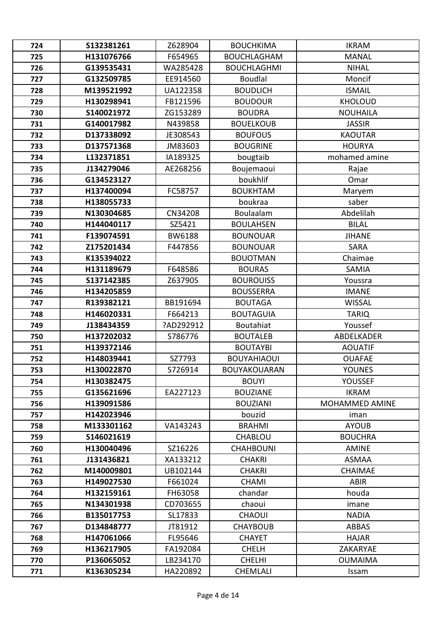| 724 | S132381261 | Z628904       | <b>BOUCHKIMA</b>    | <b>IKRAM</b>    |
|-----|------------|---------------|---------------------|-----------------|
| 725 | H131076766 | F654965       | <b>BOUCHLAGHAM</b>  | <b>MANAL</b>    |
| 726 | G139535431 | WA285428      | <b>BOUCHLAGHMI</b>  | <b>NIHAL</b>    |
| 727 | G132509785 | EE914560      | <b>Boudlal</b>      | Moncif          |
| 728 | M139521992 | UA122358      | <b>BOUDLICH</b>     | <b>ISMAIL</b>   |
| 729 | H130298941 | FB121596      | <b>BOUDOUR</b>      | <b>KHOLOUD</b>  |
| 730 | S140021972 | ZG153289      | <b>BOUDRA</b>       | <b>NOUHAILA</b> |
| 731 | G140017982 | N439858       | <b>BOUELKOUB</b>    | <b>JASSIR</b>   |
| 732 | D137338092 | JE308543      | <b>BOUFOUS</b>      | <b>KAOUTAR</b>  |
| 733 | D137571368 | JM83603       | <b>BOUGRINE</b>     | <b>HOURYA</b>   |
| 734 | L132371851 | IA189325      | bougtaib            | mohamed amine   |
| 735 | J134279046 | AE268256      | Boujemaoui          | Rajae           |
| 736 | G134523127 |               | boukhlif            | Omar            |
| 737 | H137400094 | FC58757       | <b>BOUKHTAM</b>     | Maryem          |
| 738 | H138055733 |               | boukraa             | saber           |
| 739 | N130304685 | CN34208       | Boulaalam           | Abdelilah       |
| 740 | H144040117 | SZ5421        | <b>BOULAHSEN</b>    | <b>BILAL</b>    |
| 741 | F139074591 | <b>BW6188</b> | <b>BOUNOUAR</b>     | <b>JIHANE</b>   |
| 742 | Z175201434 | F447856       | <b>BOUNOUAR</b>     | <b>SARA</b>     |
| 743 | K135394022 |               | <b>BOUOTMAN</b>     | Chaimae         |
| 744 | H131189679 | F648586       | <b>BOURAS</b>       | SAMIA           |
| 745 | S137142385 | Z637905       | <b>BOUROUISS</b>    | Youssra         |
| 746 | H134205859 |               | <b>BOUSSERRA</b>    | <b>IMANE</b>    |
| 747 | R139382121 | BB191694      | <b>BOUTAGA</b>      | <b>WISSAL</b>   |
| 748 | H146020331 | F664213       | <b>BOUTAGUIA</b>    | <b>TARIQ</b>    |
| 749 | J138434359 | ?AD292912     | Boutahiat           | Youssef         |
| 750 | H137202032 | S786776       | <b>BOUTALEB</b>     | ABDELKADER      |
| 751 | H139372146 |               | <b>BOUTAYBI</b>     | <b>AOUATIF</b>  |
| 752 | H148039441 | SZ7793        | <b>BOUYAHIAOUI</b>  | <b>OUAFAE</b>   |
| 753 | H130022870 | S726914       | <b>BOUYAKOUARAN</b> | <b>YOUNES</b>   |
| 754 | H130382475 |               | <b>BOUYI</b>        | <b>YOUSSEF</b>  |
| 755 | G135621696 | EA227123      | <b>BOUZIANE</b>     | <b>IKRAM</b>    |
| 756 | H139091586 |               | <b>BOUZIANI</b>     | MOHAMMED AMINE  |
| 757 | H142023946 |               | bouzid              | iman            |
| 758 | M133301162 | VA143243      | <b>BRAHMI</b>       | <b>AYOUB</b>    |
| 759 | S146021619 |               | CHABLOU             | <b>BOUCHRA</b>  |
| 760 | H130040496 | SZ16226       | <b>CHAHBOUNI</b>    | <b>AMINE</b>    |
| 761 | J131436821 | XA133212      | <b>CHAKRI</b>       | <b>ASMAA</b>    |
| 762 | M140009801 | UB102144      | <b>CHAKRI</b>       | <b>CHAIMAE</b>  |
| 763 | H149027530 | F661024       | <b>CHAMI</b>        | <b>ABIR</b>     |
| 764 | H132159161 | FH63058       | chandar             | houda           |
| 765 | N134301938 | CD703655      | chaoui              | imane           |
| 766 | B135017753 | SL17833       | <b>CHAOUI</b>       | <b>NADIA</b>    |
| 767 | D134848777 | JT81912       | <b>CHAYBOUB</b>     | <b>ABBAS</b>    |
| 768 | H147061066 | FL95646       | <b>CHAYET</b>       | <b>HAJAR</b>    |
| 769 | H136217905 | FA192084      | <b>CHELH</b>        | ZAKARYAE        |
| 770 | P136065052 | LB234170      | <b>CHELHI</b>       | <b>OUMAIMA</b>  |
| 771 | K136305234 | HA220892      | <b>CHEMLALI</b>     | Issam           |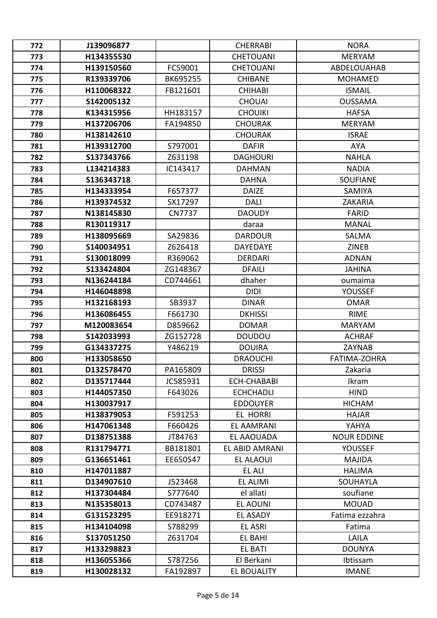| 772 | J139096877 |               | <b>CHERRABI</b>    | <b>NORA</b>         |
|-----|------------|---------------|--------------------|---------------------|
| 773 | H134355530 |               | <b>CHETOUANI</b>   | <b>MERYAM</b>       |
| 774 | H139150560 | FC59001       | <b>CHETOUANI</b>   | ABDELOUAHAB         |
| 775 | R139339706 | BK695255      | <b>CHIBANE</b>     | <b>MOHAMED</b>      |
| 776 | H110068322 | FB121601      | <b>CHIHABI</b>     | <b>ISMAIL</b>       |
| 777 | S142005132 |               | <b>CHOUAI</b>      | <b>OUSSAMA</b>      |
| 778 | K134315956 | HH183157      | <b>CHOUIKI</b>     | <b>HAFSA</b>        |
| 779 | H137206706 | FA194850      | <b>CHOURAK</b>     | <b>MERYAM</b>       |
| 780 | H138142610 |               | <b>CHOURAK</b>     | <b>ISRAE</b>        |
| 781 | H139312700 | S797001       | <b>DAFIR</b>       | <b>AYA</b>          |
| 782 | S137343766 | Z631198       | <b>DAGHOURI</b>    | <b>NAHLA</b>        |
| 783 | L134214383 | IC143417      | <b>DAHMAN</b>      | <b>NADIA</b>        |
| 784 | S136343718 |               | <b>DAHNA</b>       | <b>SOUFIANE</b>     |
| 785 | H134333954 | F657377       | <b>DAIZE</b>       | <b>SAMIYA</b>       |
| 786 | H139374532 | SX17297       | <b>DALI</b>        | <b>ZAKARIA</b>      |
| 787 | N138145830 | <b>CN7737</b> | <b>DAOUDY</b>      | <b>FARID</b>        |
| 788 | R130119317 |               | daraa              | <b>MANAL</b>        |
| 789 | H138095669 | SA29836       | <b>DARDOUR</b>     | <b>SALMA</b>        |
| 790 | S140034951 | Z626418       | <b>DAYEDAYE</b>    | <b>ZINEB</b>        |
| 791 | S130018099 | R369062       | <b>DERDARI</b>     | <b>ADNAN</b>        |
| 792 | S133424804 | ZG148367      | <b>DFAILI</b>      | <b>JAHINA</b>       |
| 793 | N136244184 | CD744661      | dhaher             | oumaima             |
| 794 | H146048898 |               | <b>DIDI</b>        | <b>YOUSSEF</b>      |
| 795 | H132168193 | SB3937        | <b>DINAR</b>       | <b>OMAR</b>         |
| 796 | H136086455 | F661730       | <b>DKHISSI</b>     | <b>RIME</b>         |
| 797 | M120083654 | D859662       | <b>DOMAR</b>       | <b>MARYAM</b>       |
| 798 | S142033993 | ZG152728      | <b>DOUDOU</b>      | <b>ACHRAF</b>       |
| 799 | G134337275 | Y486219       | <b>DOUIRA</b>      | ZAYNAB              |
| 800 | H133058650 |               | <b>DRAOUCHI</b>    | <b>FATIMA-ZOHRA</b> |
| 801 | D132578470 | PA165809      | <b>DRISSI</b>      | Zakaria             |
| 802 | D135717444 | JC585931      | <b>ECH-CHABABI</b> | Ikram               |
| 803 | H144057350 | F643026       | <b>ECHCHADLI</b>   | <b>HIND</b>         |
| 804 | H130037917 |               | <b>EDDOUYER</b>    | <b>HICHAM</b>       |
| 805 | H138379053 | F591253       | <b>EL HORRI</b>    | <b>HAJAR</b>        |
| 806 | H147061348 | F660426       | <b>EL AAMRANI</b>  | YAHYA               |
| 807 | D138751388 | JT84763       | EL AAOUADA         | <b>NOUR EDDINE</b>  |
| 808 | R131794771 | BB181801      | EL ABID AMRANI     | <b>YOUSSEF</b>      |
| 809 | G136651461 | EE650547      | <b>EL ALAOUI</b>   | <b>MAJIDA</b>       |
| 810 | H147011887 |               | <b>EL ALI</b>      | <b>HALIMA</b>       |
| 811 | D134907610 | J523468       | <b>EL ALIMI</b>    | SOUHAYLA            |
| 812 | H137304484 | S777640       | el allati          | soufiane            |
| 813 | N135358013 | CD743487      | EL AOUNI           | <b>MOUAD</b>        |
| 814 | G131523295 | EE918271      | EL ASADY           | Fatima ezzahra      |
| 815 | H134104098 | S788299       | <b>EL ASRI</b>     | Fatima              |
| 816 | S137051250 | Z631704       | EL BAHI            | LAILA               |
| 817 | H133298823 |               | <b>EL BATI</b>     | <b>DOUNYA</b>       |
| 818 | H136055366 | S787256       | El Berkani         | Ibtissam            |
| 819 | H130028132 | FA192897      | <b>EL BOUALITY</b> | <b>IMANE</b>        |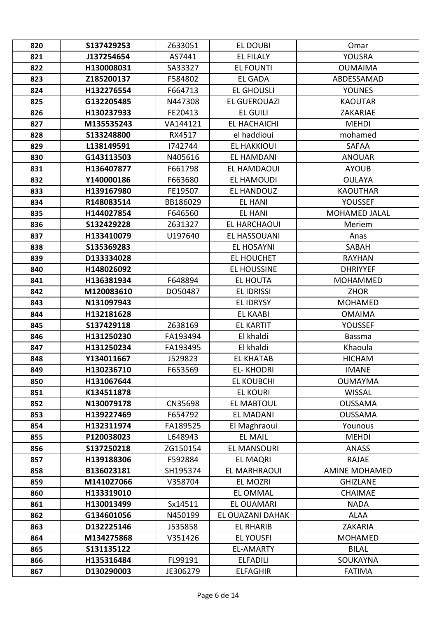| 820 | S137429253<br>J137254654 | Z633051<br>AS7441 | EL DOUBI<br><b>EL FILALY</b> | Omar<br>YOUSRA       |
|-----|--------------------------|-------------------|------------------------------|----------------------|
| 821 |                          |                   |                              |                      |
| 822 | H130008031               | SA33327           | <b>EL FOUNTI</b>             | <b>OUMAIMA</b>       |
| 823 | Z185200137               | F584802           | EL GADA                      | ABDESSAMAD           |
| 824 | H132276554               | F664713           | <b>EL GHOUSLI</b>            | <b>YOUNES</b>        |
| 825 | G132205485               | N447308           | <b>EL GUEROUAZI</b>          | <b>KAOUTAR</b>       |
| 826 | H130237933               | FE20413           | <b>EL GUILI</b>              | ZAKARIAE             |
| 827 | M135535243               | VA144121          | EL HACHAICHI                 | <b>MEHDI</b>         |
| 828 | S133248800               | RX4517            | el haddioui                  | mohamed              |
| 829 | L138149591               | 1742744           | <b>EL HAKKIOUI</b>           | <b>SAFAA</b>         |
| 830 | G143113503               | N405616           | EL HAMDANI                   | <b>ANOUAR</b>        |
| 831 | H136407877               | F661798           | EL HAMDAOUI                  | <b>AYOUB</b>         |
| 832 | Y140000186               | F663680           | <b>EL HAMOUDI</b>            | <b>OULAYA</b>        |
| 833 | H139167980               | FE19507           | EL HANDOUZ                   | <b>KAOUTHAR</b>      |
| 834 | R148083514               | BB186029          | EL HANI                      | YOUSSEF              |
| 835 | H144027854               | F646560           | <b>EL HANI</b>               | <b>MOHAMED JALAL</b> |
| 836 | S132429228               | Z631327           | EL HARCHAOUI                 | Meriem               |
| 837 | H133410079               | U197640           | <b>EL HASSOUANI</b>          | Anas                 |
| 838 | S135369283               |                   | <b>EL HOSAYNI</b>            | SABAH                |
| 839 | D133334028               |                   | <b>EL HOUCHET</b>            | <b>RAYHAN</b>        |
| 840 | H148026092               |                   | <b>EL HOUSSINE</b>           | <b>DHRIYYEF</b>      |
| 841 | H136381934               | F648894           | EL HOUTA                     | <b>MOHAMMED</b>      |
| 842 | M120083610               | DO50487           | <b>EL IDRISSI</b>            | <b>ZHOR</b>          |
| 843 | N131097943               |                   | <b>EL IDRYSY</b>             | <b>MOHAMED</b>       |
| 844 | H132181628               |                   | <b>EL KAABI</b>              | <b>OMAIMA</b>        |
| 845 | S137429118               | Z638169           | <b>EL KARTIT</b>             | <b>YOUSSEF</b>       |
| 846 | H131250230               | FA193494          | El khaldi                    | <b>Bassma</b>        |
| 847 | H131250234               | FA193495          | El khaldi                    | Khaoula              |
| 848 | Y134011667               | J529823           | <b>EL KHATAB</b>             | <b>HICHAM</b>        |
| 849 | H130236710               | F653569           | <b>EL-KHODRI</b>             | <b>IMANE</b>         |
| 850 | H131067644               |                   | <b>EL KOUBCHI</b>            | <b>OUMAYMA</b>       |
| 851 | K134511878               |                   | <b>EL KOURI</b>              | <b>WISSAL</b>        |
| 852 | N130079178               | CN35698           | <b>EL MABTOUL</b>            | <b>OUSSAMA</b>       |
| 853 | H139227469               | F654792           | <b>EL MADANI</b>             | <b>OUSSAMA</b>       |
| 854 | H132311974               | FA189525          | El Maghraoui                 | Younous              |
| 855 | P120038023               | L648943           | <b>EL MAIL</b>               | <b>MEHDI</b>         |
| 856 | S137250218               | ZG150154          | <b>EL MANSOURI</b>           | <b>ANASS</b>         |
| 857 | H139188306               | F592884           | <b>EL MAQRI</b>              | <b>RAJAE</b>         |
| 858 | B136023181               | SH195374          | <b>EL MARHRAOUI</b>          | <b>AMINE MOHAMED</b> |
| 859 | M141027066               | V358704           | EL MOZRI                     | <b>GHIZLANE</b>      |
| 860 | H133319010               |                   | <b>EL OMMAL</b>              | <b>CHAIMAE</b>       |
| 861 | H130013499               | Sx14511           | <b>EL OUAMARI</b>            | <b>NADA</b>          |
| 862 | G134601056               | N450199           | EL OUAZANI DAHAK             | <b>ALAA</b>          |
| 863 | D132225146               | J535858           | <b>EL RHARIB</b>             | ZAKARIA              |
| 864 | M134275868               | V351426           | <b>EL YOUSFI</b>             | <b>MOHAMED</b>       |
| 865 | S131135122               |                   | <b>EL-AMARTY</b>             | <b>BILAL</b>         |
|     | H135316484               | FL99191           |                              | SOUKAYNA             |
| 866 |                          |                   | <b>ELFADILI</b>              |                      |
| 867 | D130290003               | JE306279          | <b>ELFAGHIR</b>              | <b>FATIMA</b>        |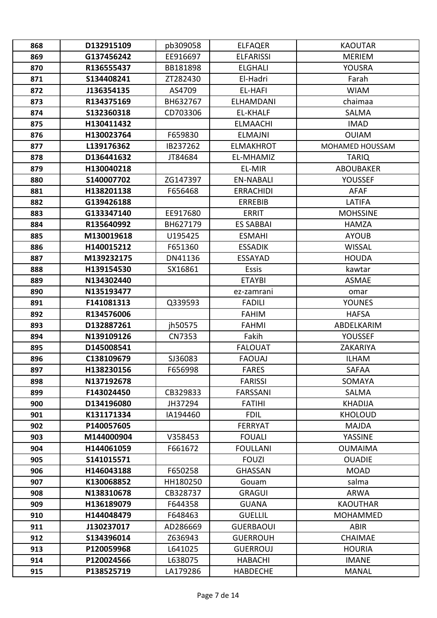| 868 | D132915109 | pb309058 | <b>ELFAQER</b>   | <b>KAOUTAR</b>   |
|-----|------------|----------|------------------|------------------|
| 869 | G137456242 | EE916697 | <b>ELFARISSI</b> | <b>MERIEM</b>    |
| 870 | R136555437 | BB181898 | <b>ELGHALI</b>   | YOUSRA           |
| 871 | S134408241 | ZT282430 | El-Hadri         | Farah            |
| 872 | J136354135 | AS4709   | <b>EL-HAFI</b>   | <b>WIAM</b>      |
| 873 | R134375169 | BH632767 | <b>ELHAMDANI</b> | chaimaa          |
| 874 | S132360318 | CD703306 | <b>EL-KHALF</b>  | <b>SALMA</b>     |
| 875 | H130411432 |          | <b>ELMAACHI</b>  | <b>IMAD</b>      |
| 876 | H130023764 | F659830  | <b>ELMAJNI</b>   | <b>OUIAM</b>     |
| 877 | L139176362 | IB237262 | <b>ELMAKHROT</b> | MOHAMED HOUSSAM  |
| 878 | D136441632 | JT84684  | EL-MHAMIZ        | <b>TARIQ</b>     |
| 879 | H130040218 |          | EL-MIR           | <b>ABOUBAKER</b> |
| 880 | S140007702 | ZG147397 | <b>EN-NABALI</b> | <b>YOUSSEF</b>   |
| 881 | H138201138 | F656468  | <b>ERRACHIDI</b> | <b>AFAF</b>      |
| 882 | G139426188 |          | <b>ERREBIB</b>   | LATIFA           |
| 883 | G133347140 | EE917680 | <b>ERRIT</b>     | <b>MOHSSINE</b>  |
| 884 | R135640992 | BH627179 | <b>ES SABBAI</b> | <b>HAMZA</b>     |
| 885 | M130019618 | U195425  | <b>ESMAHI</b>    | <b>AYOUB</b>     |
| 886 | H140015212 | F651360  | <b>ESSADIK</b>   | <b>WISSAL</b>    |
| 887 | M139232175 | DN41136  | <b>ESSAYAD</b>   | <b>HOUDA</b>     |
| 888 | H139154530 | SX16861  | <b>Essis</b>     | kawtar           |
| 889 | N134302440 |          | <b>ETAYBI</b>    | <b>ASMAE</b>     |
| 890 | N135193477 |          | ez-zamrani       | omar             |
| 891 | F141081313 | Q339593  | <b>FADILI</b>    | <b>YOUNES</b>    |
| 892 | R134576006 |          | <b>FAHIM</b>     | <b>HAFSA</b>     |
| 893 | D132887261 | jh50575  | <b>FAHMI</b>     | ABDELKARIM       |
| 894 | N139109126 | CN7353   | Fakih            | <b>YOUSSEF</b>   |
| 895 | D145008541 |          | <b>FALOUAT</b>   | ZAKARIYA         |
| 896 | C138109679 | SJ36083  | <b>FAOUAJ</b>    | <b>ILHAM</b>     |
| 897 | H138230156 | F656998  | FARES            | SAFAA            |
| 898 | N137192678 |          | <b>FARISSI</b>   | SOMAYA           |
| 899 | F143024450 | CB329833 | <b>FARSSANI</b>  | SALMA            |
| 900 | D134196080 | JH37294  | <b>FATIHI</b>    | <b>KHADIJA</b>   |
| 901 | K131171334 | IA194460 | <b>FDIL</b>      | <b>KHOLOUD</b>   |
| 902 | P140057605 |          | <b>FERRYAT</b>   | <b>MAJDA</b>     |
| 903 | M144000904 | V358453  | <b>FOUALI</b>    | YASSINE          |
| 904 | H144061059 | F661672  | <b>FOULLANI</b>  | <b>OUMAIMA</b>   |
| 905 | S141015571 |          | <b>FOUZI</b>     | <b>OUADIE</b>    |
| 906 | H146043188 | F650258  | <b>GHASSAN</b>   | <b>MOAD</b>      |
| 907 | K130068852 | HH180250 | Gouam            | salma            |
| 908 | N138310678 | CB328737 | <b>GRAGUI</b>    | <b>ARWA</b>      |
| 909 | H136189079 | F644358  | <b>GUANA</b>     | <b>KAOUTHAR</b>  |
| 910 | H144048479 | F648463  | <b>GUELLIL</b>   | <b>MOHAMMED</b>  |
| 911 | J130237017 | AD286669 | <b>GUERBAOUI</b> | <b>ABIR</b>      |
| 912 | S134396014 | Z636943  | <b>GUERROUH</b>  | <b>CHAIMAE</b>   |
| 913 | P120059968 | L641025  | <b>GUERROUJ</b>  | <b>HOURIA</b>    |
| 914 | P120024566 | L638075  | <b>HABACHI</b>   | <b>IMANE</b>     |
| 915 | P138525719 | LA179286 | <b>HABDECHE</b>  | <b>MANAL</b>     |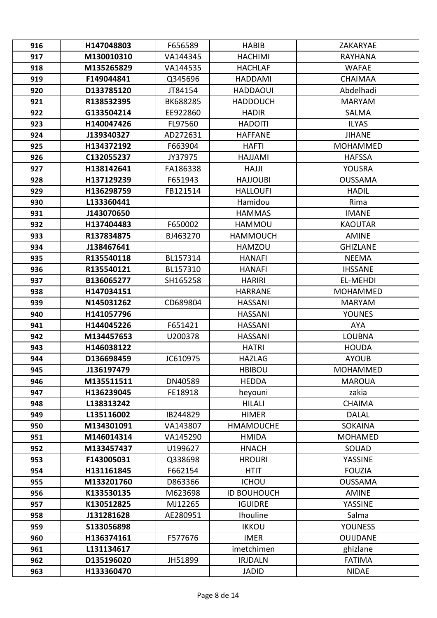| 916 | H147048803 | F656589  | <b>HABIB</b>       | ZAKARYAE        |
|-----|------------|----------|--------------------|-----------------|
| 917 | M130010310 | VA144345 | <b>HACHIMI</b>     | <b>RAYHANA</b>  |
| 918 | M135265829 | VA144535 | <b>HACHLAF</b>     | <b>WAFAE</b>    |
| 919 | F149044841 | Q345696  | HADDAMI            | <b>CHAIMAA</b>  |
| 920 | D133785120 | JT84154  | <b>HADDAOUI</b>    | Abdelhadi       |
| 921 | R138532395 | BK688285 | <b>HADDOUCH</b>    | <b>MARYAM</b>   |
| 922 | G133504214 | EE922860 | <b>HADIR</b>       | <b>SALMA</b>    |
| 923 | H140047426 | FL97560  | <b>HADOITI</b>     | <b>ILYAS</b>    |
| 924 | J139340327 | AD272631 | <b>HAFFANE</b>     | <b>JIHANE</b>   |
| 925 | H134372192 | F663904  | <b>HAFTI</b>       | <b>MOHAMMED</b> |
| 926 | C132055237 | JY37975  | HAJJAMI            | <b>HAFSSA</b>   |
| 927 | H138142641 | FA186338 | <b>HAJJI</b>       | YOUSRA          |
| 928 | H137129239 | F651943  | <b>HAJJOUBI</b>    | <b>OUSSAMA</b>  |
| 929 | H136298759 | FB121514 | <b>HALLOUFI</b>    | <b>HADIL</b>    |
| 930 | L133360441 |          | Hamidou            | Rima            |
| 931 | J143070650 |          | <b>HAMMAS</b>      | <b>IMANE</b>    |
| 932 | H137404483 | F650002  | <b>HAMMOU</b>      | <b>KAOUTAR</b>  |
| 933 | R137834875 | BJ463270 | <b>HAMMOUCH</b>    | <b>AMINE</b>    |
| 934 | J138467641 |          | <b>HAMZOU</b>      | <b>GHIZLANE</b> |
| 935 | R135540118 | BL157314 | <b>HANAFI</b>      | <b>NEEMA</b>    |
| 936 | R135540121 | BL157310 | <b>HANAFI</b>      | <b>IHSSANE</b>  |
| 937 | B136065277 | SH165258 | <b>HARIRI</b>      | <b>EL-MEHDI</b> |
| 938 | H147034151 |          | <b>HARRANE</b>     | <b>MOHAMMED</b> |
| 939 | N145031262 | CD689804 | <b>HASSANI</b>     | <b>MARYAM</b>   |
| 940 | H141057796 |          | <b>HASSANI</b>     | <b>YOUNES</b>   |
| 941 | H144045226 | F651421  | <b>HASSANI</b>     | <b>AYA</b>      |
| 942 | M134457653 | U200378  | <b>HASSANI</b>     | <b>LOUBNA</b>   |
| 943 | H146038122 |          | <b>HATRI</b>       | <b>HOUDA</b>    |
| 944 | D136698459 | JC610975 | <b>HAZLAG</b>      | <b>AYOUB</b>    |
| 945 | J136197479 |          | <b>HBIBOU</b>      | MOHAMMED        |
| 946 | M135511511 | DN40589  | <b>HEDDA</b>       | <b>MAROUA</b>   |
| 947 | H136239045 | FE18918  | heyouni            | zakia           |
| 948 | L138313242 |          | <b>HILALI</b>      | <b>CHAIMA</b>   |
| 949 | L135116002 | IB244829 | <b>HIMER</b>       | <b>DALAL</b>    |
| 950 | M134301091 | VA143807 | <b>HMAMOUCHE</b>   | <b>SOKAINA</b>  |
| 951 | M146014314 | VA145290 | <b>HMIDA</b>       | <b>MOHAMED</b>  |
| 952 | M133457437 | U199627  | <b>HNACH</b>       | SOUAD           |
| 953 | F143005031 | Q338698  | <b>HROURI</b>      | YASSINE         |
| 954 | H131161845 | F662154  | <b>HTIT</b>        | <b>FOUZIA</b>   |
| 955 | M133201760 | D863366  | <b>ICHOU</b>       | <b>OUSSAMA</b>  |
| 956 | K133530135 | M623698  | <b>ID BOUHOUCH</b> | <b>AMINE</b>    |
| 957 | K130512825 | MJ12265  | <b>IGUIDRE</b>     | YASSINE         |
| 958 | J131281628 | AE280951 | Ihouline           | Salma           |
| 959 | S133056898 |          | <b>IKKOU</b>       | <b>YOUNESS</b>  |
| 960 | H136374161 | F577676  | <b>IMER</b>        | <b>OUIJDANE</b> |
| 961 | L131134617 |          | imetchimen         | ghizlane        |
| 962 | D135196020 | JH51899  | <b>IRJDALN</b>     | <b>FATIMA</b>   |
| 963 | H133360470 |          | <b>JADID</b>       | <b>NIDAE</b>    |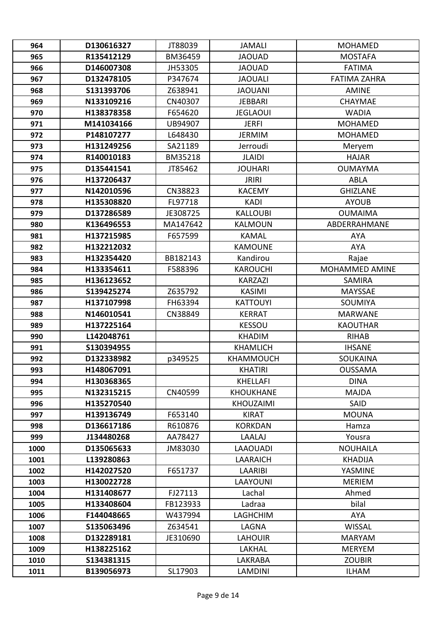| 964  | D130616327 | JT88039  | <b>JAMALI</b>    | <b>MOHAMED</b>      |
|------|------------|----------|------------------|---------------------|
| 965  | R135412129 | BM36459  | <b>JAOUAD</b>    | <b>MOSTAFA</b>      |
| 966  | D146007308 | JH53305  | <b>JAOUAD</b>    | <b>FATIMA</b>       |
| 967  | D132478105 | P347674  | <b>JAOUALI</b>   | <b>FATIMA ZAHRA</b> |
| 968  | S131393706 | Z638941  | <b>JAOUANI</b>   | <b>AMINE</b>        |
| 969  | N133109216 | CN40307  | <b>JEBBARI</b>   | <b>CHAYMAE</b>      |
| 970  | H138378358 | F654620  | <b>JEGLAOUI</b>  | <b>WADIA</b>        |
| 971  | M141034166 | UB94907  | <b>JERFI</b>     | <b>MOHAMED</b>      |
| 972  | P148107277 | L648430  | <b>JERMIM</b>    | <b>MOHAMED</b>      |
| 973  | H131249256 | SA21189  | Jerroudi         | Meryem              |
| 974  | R140010183 | BM35218  | <b>JLAIDI</b>    | <b>HAJAR</b>        |
| 975  | D135441541 | JT85462  | <b>JOUHARI</b>   | <b>OUMAYMA</b>      |
| 976  | H137206437 |          | <b>JRIRI</b>     | ABLA                |
| 977  | N142010596 | CN38823  | <b>KACEMY</b>    | <b>GHIZLANE</b>     |
| 978  | H135308820 | FL97718  | <b>KADI</b>      | <b>AYOUB</b>        |
| 979  | D137286589 | JE308725 | <b>KALLOUBI</b>  | <b>OUMAIMA</b>      |
| 980  | K136496553 | MA147642 | <b>KALMOUN</b>   | ABDERRAHMANE        |
| 981  | H137215985 | F657599  | <b>KAMAL</b>     | <b>AYA</b>          |
| 982  | H132212032 |          | <b>KAMOUNE</b>   | <b>AYA</b>          |
| 983  | H132354420 | BB182143 | Kandirou         | Rajae               |
| 984  | H133354611 | F588396  | <b>KAROUCHI</b>  | MOHAMMED AMINE      |
| 985  | H136123652 |          | <b>KARZAZI</b>   | <b>SAMIRA</b>       |
| 986  | S139425274 | Z635792  | <b>KASIMI</b>    | MAYSSAE             |
| 987  | H137107998 | FH63394  | <b>KATTOUYI</b>  | SOUMIYA             |
| 988  | N146010541 | CN38849  | <b>KERRAT</b>    | <b>MARWANE</b>      |
| 989  | H137225164 |          | <b>KESSOU</b>    | <b>KAOUTHAR</b>     |
| 990  | L142048761 |          | <b>KHADIM</b>    | <b>RIHAB</b>        |
| 991  | S130394955 |          | <b>KHAMLICH</b>  | <b>IHSANE</b>       |
| 992  | D132338982 | p349525  | <b>KHAMMOUCH</b> | <b>SOUKAINA</b>     |
| 993  | H148067091 |          | <b>KHATIRI</b>   | <b>OUSSAMA</b>      |
| 994  | H130368365 |          | <b>KHELLAFI</b>  | <b>DINA</b>         |
| 995  | N132315215 | CN40599  | <b>KHOUKHANE</b> | <b>MAJDA</b>        |
| 996  | H135270540 |          | <b>KHOUZAIMI</b> | SAID                |
| 997  | H139136749 | F653140  | <b>KIRAT</b>     | <b>MOUNA</b>        |
| 998  | D136617186 | R610876  | <b>KORKDAN</b>   | Hamza               |
| 999  | J134480268 | AA78427  | LAALAJ           | Yousra              |
| 1000 | D135065633 | JM83030  | <b>LAAOUADI</b>  | <b>NOUHAILA</b>     |
| 1001 | L139280863 |          | <b>LAARAICH</b>  | <b>KHADIJA</b>      |
| 1002 | H142027520 | F651737  | LAARIBI          | YASMINE             |
| 1003 | H130022728 |          | LAAYOUNI         | <b>MERIEM</b>       |
| 1004 | H131408677 | FJ27113  | Lachal           | Ahmed               |
| 1005 | H133408604 | FB123933 | Ladraa           | bilal               |
| 1006 | F144048665 | W437994  | <b>LAGHCHIM</b>  | <b>AYA</b>          |
| 1007 | S135063496 | Z634541  | LAGNA            | <b>WISSAL</b>       |
| 1008 | D132289181 | JE310690 | <b>LAHOUIR</b>   | <b>MARYAM</b>       |
| 1009 | H138225162 |          | LAKHAL           | <b>MERYEM</b>       |
| 1010 | S134381315 |          | LAKRABA          | <b>ZOUBIR</b>       |
| 1011 | B139056973 | SL17903  | <b>LAMDINI</b>   | <b>ILHAM</b>        |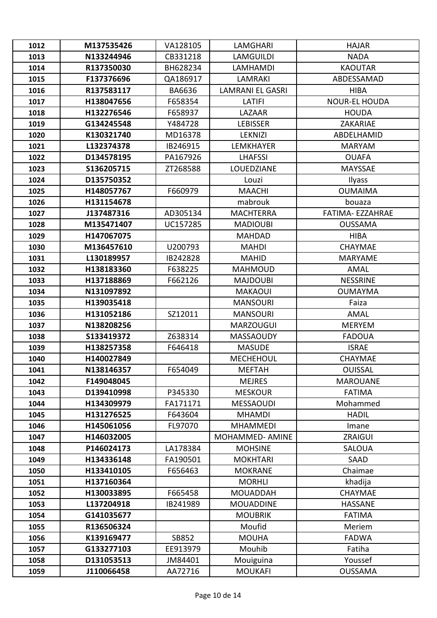| 1012         | M137535426               | VA128105             | LAMGHARI                          | <b>HAJAR</b>              |
|--------------|--------------------------|----------------------|-----------------------------------|---------------------------|
| 1013         | N133244946               | CB331218             | <b>LAMGUILDI</b>                  | <b>NADA</b>               |
| 1014         | R137350030               | BH628234             | <b>LAMHAMDI</b>                   | <b>KAOUTAR</b>            |
| 1015         | F137376696               | QA186917             | <b>LAMRAKI</b>                    | ABDESSAMAD                |
| 1016         | R137583117               | BA6636               | <b>LAMRANI EL GASRI</b>           | <b>HIBA</b>               |
| 1017         | H138047656               | F658354              | LATIFI                            | <b>NOUR-EL HOUDA</b>      |
| 1018         | H132276546               | F658937              | LAZAAR                            | <b>HOUDA</b>              |
| 1019         | G134245548               | Y484728              | <b>LEBISSER</b>                   | <b>ZAKARIAE</b>           |
| 1020         | K130321740               | MD16378              | <b>LEKNIZI</b>                    | ABDELHAMID                |
| 1021         | L132374378               | IB246915             | <b>LEMKHAYER</b>                  | <b>MARYAM</b>             |
| 1022         | D134578195               | PA167926             | <b>LHAFSSI</b>                    | <b>OUAFA</b>              |
| 1023         | S136205715               | ZT268588             | LOUEDZIANE                        | <b>MAYSSAE</b>            |
| 1024         | D135750352               |                      | Louzi                             | Ilyass                    |
| 1025         | H148057767               | F660979              | <b>MAACHI</b>                     | <b>OUMAIMA</b>            |
| 1026         | H131154678               |                      | mabrouk                           | bouaza                    |
| 1027         | J137487316               | AD305134             | <b>MACHTERRA</b>                  | FATIMA-EZZAHRAE           |
| 1028         | M135471407               | UC157285             | <b>MADIOUBI</b>                   | <b>OUSSAMA</b>            |
| 1029         | H147067075               |                      | <b>MAHDAD</b>                     | <b>HIBA</b>               |
| 1030         | M136457610               | U200793              | <b>MAHDI</b>                      | <b>CHAYMAE</b>            |
| 1031         | L130189957               | IB242828             | <b>MAHID</b>                      | <b>MARYAME</b>            |
| 1032         | H138183360               | F638225              | <b>MAHMOUD</b>                    | AMAL                      |
| 1033         | H137188869               | F662126              | <b>MAJDOUBI</b>                   | <b>NESSRINE</b>           |
| 1034         | N131097892               |                      | <b>MAKAOUI</b>                    | <b>OUMAYMA</b>            |
| 1035         | H139035418               |                      | <b>MANSOURI</b>                   | Faiza                     |
| 1036         | H131052186               | SZ12011              | <b>MANSOURI</b>                   | <b>AMAL</b>               |
| 1037         | N138208256               |                      | <b>MARZOUGUI</b>                  | <b>MERYEM</b>             |
| 1038         | S133419372               | Z638314              | <b>MASSAOUDY</b>                  | <b>FADOUA</b>             |
| 1039         | H138257358               | F646418              | <b>MASUDE</b>                     | <b>ISRAE</b>              |
| 1040         | H140027849               |                      | <b>MECHEHOUL</b>                  | <b>CHAYMAE</b>            |
| 1041         | N138146357               | F654049              | <b>MEFTAH</b>                     | <b>OUISSAL</b>            |
| 1042         | F149048045               |                      | <b>MEJRES</b>                     | <b>MAROUANE</b>           |
| 1043         | D139410998               | P345330              | <b>MESKOUR</b>                    | <b>FATIMA</b>             |
| 1044         | H134309979               | FA171171             | <b>MESSAOUDI</b>                  | Mohammed                  |
| 1045         | H131276525               | F643604              | <b>MHAMDI</b>                     | <b>HADIL</b>              |
| 1046         | H145061056               | FL97070              | <b>MHAMMEDI</b>                   | Imane                     |
| 1047         | H146032005               |                      | MOHAMMED-AMINE                    | ZRAIGUI                   |
| 1048         | P146024173               | LA178384<br>FA190501 | <b>MOHSINE</b><br><b>MOKHTARI</b> | <b>SALOUA</b>             |
| 1049         | H134336148               | F656463              | <b>MOKRANE</b>                    | SAAD                      |
| 1050         | H133410105<br>H137160364 |                      | <b>MORHLI</b>                     | Chaimae                   |
| 1051<br>1052 | H130033895               | F665458              | <b>MOUADDAH</b>                   | khadija<br><b>CHAYMAE</b> |
| 1053         | L137204918               | IB241989             | <b>MOUADDINE</b>                  | <b>HASSANE</b>            |
| 1054         | G141035677               |                      | <b>MOUBRIK</b>                    | <b>FATIMA</b>             |
| 1055         | R136506324               |                      | Moufid                            | Meriem                    |
| 1056         | K139169477               | SB852                | <b>MOUHA</b>                      | <b>FADWA</b>              |
| 1057         | G133277103               | EE913979             | Mouhib                            | Fatiha                    |
| 1058         | D131053513               | JM84401              | Mouiguina                         | Youssef                   |
| 1059         | J110066458               | AA72716              | <b>MOUKAFI</b>                    | <b>OUSSAMA</b>            |
|              |                          |                      |                                   |                           |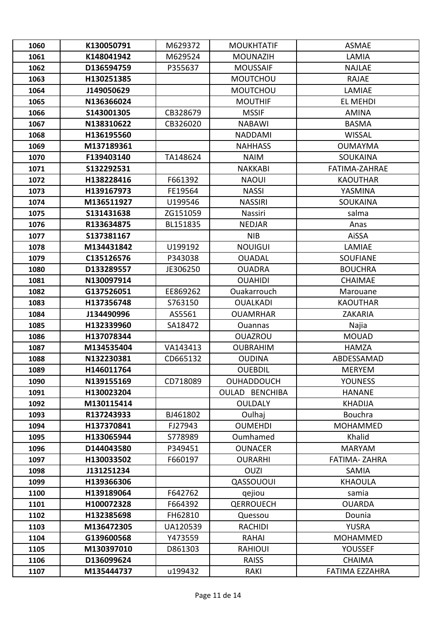| 1060 | K130050791 | M629372  | <b>MOUKHTATIF</b> | <b>ASMAE</b>          |
|------|------------|----------|-------------------|-----------------------|
| 1061 | K148041942 | M629524  | <b>MOUNAZIH</b>   | LAMIA                 |
| 1062 | D136594759 | P355637  | <b>MOUSSAIF</b>   | <b>NAJLAE</b>         |
| 1063 | H130251385 |          | <b>MOUTCHOU</b>   | <b>RAJAE</b>          |
| 1064 | J149050629 |          | <b>MOUTCHOU</b>   | LAMIAE                |
| 1065 | N136366024 |          | <b>MOUTHIF</b>    | EL MEHDI              |
| 1066 | S143001305 | CB328679 | <b>MSSIF</b>      | <b>AMINA</b>          |
| 1067 | N138310622 | CB326020 | <b>NABAWI</b>     | <b>BASMA</b>          |
| 1068 | H136195560 |          | <b>NADDAMI</b>    | <b>WISSAL</b>         |
| 1069 | M137189361 |          | <b>NAHHASS</b>    | <b>OUMAYMA</b>        |
| 1070 | F139403140 | TA148624 | <b>NAIM</b>       | <b>SOUKAINA</b>       |
| 1071 | S132292531 |          | <b>NAKKABI</b>    | <b>FATIMA-ZAHRAE</b>  |
| 1072 | H138228416 | F661392  | <b>NAOUI</b>      | <b>KAOUTHAR</b>       |
| 1073 | H139167973 | FE19564  | <b>NASSI</b>      | YASMINA               |
| 1074 | M136511927 | U199546  | <b>NASSIRI</b>    | <b>SOUKAINA</b>       |
| 1075 | S131431638 | ZG151059 | Nassiri           | salma                 |
| 1076 | R133634875 | BL151835 | <b>NEDJAR</b>     | Anas                  |
| 1077 | S137381167 |          | <b>NIB</b>        | AiSSA                 |
| 1078 | M134431842 | U199192  | <b>NOUIGUI</b>    | LAMIAE                |
| 1079 | C135126576 | P343038  | <b>OUADAL</b>     | <b>SOUFIANE</b>       |
| 1080 | D133289557 | JE306250 | <b>OUADRA</b>     | <b>BOUCHRA</b>        |
| 1081 | N130097914 |          | <b>OUAHIDI</b>    | <b>CHAIMAE</b>        |
| 1082 | G137526051 | EE869262 | Ouakarrouch       | Marouane              |
| 1083 | H137356748 | S763150  | <b>OUALKADI</b>   | <b>KAOUTHAR</b>       |
| 1084 | J134490996 | AS5561   | <b>OUAMRHAR</b>   | ZAKARIA               |
| 1085 | H132339960 | SA18472  | <b>Ouannas</b>    | Najia                 |
| 1086 | H137078344 |          | <b>OUAZROU</b>    | <b>MOUAD</b>          |
| 1087 | M134535404 | VA143413 | <b>OUBRAHIM</b>   | <b>HAMZA</b>          |
| 1088 | N132230381 | CD665132 | <b>OUDINA</b>     | ABDESSAMAD            |
| 1089 | H146011764 |          | <b>OUEBDIL</b>    | <b>MERYEM</b>         |
| 1090 | N139155169 | CD718089 | <b>OUHADDOUCH</b> | <b>YOUNESS</b>        |
| 1091 | H130023204 |          | OULAD BENCHIBA    | <b>HANANE</b>         |
| 1092 | M130115414 |          | <b>OULDALY</b>    | <b>KHADIJA</b>        |
| 1093 | R137243933 | BJ461802 | Oulhaj            | Bouchra               |
| 1094 | H137370841 | FJ27943  | <b>OUMEHDI</b>    | <b>MOHAMMED</b>       |
| 1095 | H133065944 | S778989  | Oumhamed          | Khalid                |
| 1096 | D144043580 | P349451  | <b>OUNACER</b>    | <b>MARYAM</b>         |
| 1097 | H130033502 | F660197  | <b>OURARHI</b>    | FATIMA-ZAHRA          |
| 1098 | J131251234 |          | <b>OUZI</b>       | <b>SAMIA</b>          |
| 1099 | H139366306 |          | QASSOUOUI         | <b>KHAOULA</b>        |
| 1100 | H139189064 | F642762  | qejiou            | samia                 |
| 1101 | H100072328 | F664392  | <b>QERROUECH</b>  | <b>OUARDA</b>         |
| 1102 | H132385698 | FH62810  | Quessou           | Dounia                |
| 1103 | M136472305 | UA120539 | <b>RACHIDI</b>    | <b>YUSRA</b>          |
| 1104 | G139600568 | Y473559  | RAHAI             | <b>MOHAMMED</b>       |
| 1105 | M130397010 | D861303  | <b>RAHIOUI</b>    | <b>YOUSSEF</b>        |
| 1106 | D136099624 |          | <b>RAISS</b>      | <b>CHAIMA</b>         |
| 1107 | M135444737 | u199432  | RAKI              | <b>FATIMA EZZAHRA</b> |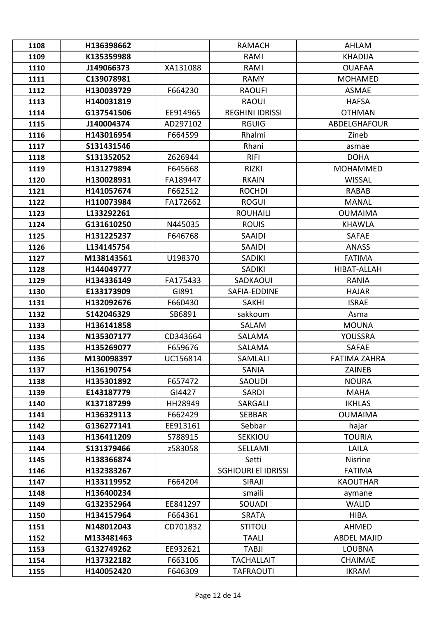| 1108 | H136398662 |          | <b>RAMACH</b>              | <b>AHLAM</b>        |
|------|------------|----------|----------------------------|---------------------|
| 1109 | K135359988 |          | RAMI                       | <b>KHADIJA</b>      |
| 1110 | J149066373 | XA131088 | RAMI                       | <b>OUAFAA</b>       |
| 1111 | C139078981 |          | RAMY                       | <b>MOHAMED</b>      |
| 1112 | H130039729 | F664230  | <b>RAOUFI</b>              | <b>ASMAE</b>        |
| 1113 | H140031819 |          | <b>RAOUI</b>               | <b>HAFSA</b>        |
| 1114 | G137541506 | EE914965 | <b>REGHINI IDRISSI</b>     | <b>OTHMAN</b>       |
| 1115 | J140004374 | AD297102 | <b>RGUIG</b>               | <b>ABDELGHAFOUR</b> |
| 1116 | H143016954 | F664599  | Rhalmi                     | Zineb               |
| 1117 | S131431546 |          | Rhani                      | asmae               |
| 1118 | S131352052 | Z626944  | <b>RIFI</b>                | <b>DOHA</b>         |
| 1119 | H131279894 | F645668  | <b>RIZKI</b>               | <b>MOHAMMED</b>     |
| 1120 | H130028931 | FA189447 | <b>RKAIN</b>               | <b>WISSAL</b>       |
| 1121 | H141057674 | F662512  | <b>ROCHDI</b>              | <b>RABAB</b>        |
| 1122 | H110073984 | FA172662 | <b>ROGUI</b>               | <b>MANAL</b>        |
| 1123 | L133292261 |          | <b>ROUHAILI</b>            | <b>OUMAIMA</b>      |
| 1124 | G131610250 | N445035  | <b>ROUIS</b>               | <b>KHAWLA</b>       |
| 1125 | H131225237 | F646768  | <b>SAAIDI</b>              | <b>SAFAE</b>        |
| 1126 | L134145754 |          | SAAIDI                     | <b>ANASS</b>        |
| 1127 | M138143561 | U198370  | <b>SADIKI</b>              | <b>FATIMA</b>       |
| 1128 | H144049777 |          | <b>SADIKI</b>              | HIBAT-ALLAH         |
| 1129 | H134336149 | FA175433 | SADKAOUI                   | <b>RANIA</b>        |
| 1130 | E133173909 | GI891    | SAFIA-EDDINE               | <b>HAJAR</b>        |
| 1131 | H132092676 | F660430  | <b>SAKHI</b>               | <b>ISRAE</b>        |
| 1132 | S142046329 | SB6891   | sakkoum                    | Asma                |
| 1133 | H136141858 |          | SALAM                      | <b>MOUNA</b>        |
| 1134 | N135307177 | CD343664 | <b>SALAMA</b>              | YOUSSRA             |
| 1135 | H135269077 | F659676  | <b>SALAMA</b>              | <b>SAFAE</b>        |
| 1136 | M130098397 | UC156814 | SAMLALI                    | <b>FATIMA ZAHRA</b> |
| 1137 | H136190754 |          | SANIA                      | ZAINEB              |
| 1138 | H135301892 | F657472  | SAOUDI                     | <b>NOURA</b>        |
| 1139 | E143187779 | GI4427   | SARDI                      | <b>MAHA</b>         |
| 1140 | K137187299 | HH28949  | SARGALI                    | <b>IKHLAS</b>       |
| 1141 | H136329113 | F662429  | <b>SEBBAR</b>              | <b>OUMAIMA</b>      |
| 1142 | G136277141 | EE913161 | Sebbar                     | hajar               |
| 1143 | H136411209 | S788915  | <b>SEKKIOU</b>             | <b>TOURIA</b>       |
| 1144 | S131379466 | z583058  | SELLAMI                    | <b>LAILA</b>        |
| 1145 | H138366874 |          | Setti                      | Nisrine             |
| 1146 | H132383267 |          | <b>SGHIOURI EI IDRISSI</b> | <b>FATIMA</b>       |
| 1147 | H133119952 | F664204  | SIRAJI                     | <b>KAOUTHAR</b>     |
| 1148 | H136400234 |          | smaili                     | aymane              |
| 1149 | G132352964 | EE841297 | SOUADI                     | <b>WALID</b>        |
| 1150 | H134157964 | F664361  | <b>SRATA</b>               | <b>HIBA</b>         |
| 1151 | N148012043 | CD701832 | <b>STITOU</b>              | AHMED               |
| 1152 | M133481463 |          | <b>TAALI</b>               | <b>ABDEL MAJID</b>  |
| 1153 | G132749262 | EE932621 | <b>TABJI</b>               | <b>LOUBNA</b>       |
| 1154 | H137322182 | F663106  | <b>TACHALLAIT</b>          | <b>CHAIMAE</b>      |
| 1155 | H140052420 | F646309  | <b>TAFRAOUTI</b>           | <b>IKRAM</b>        |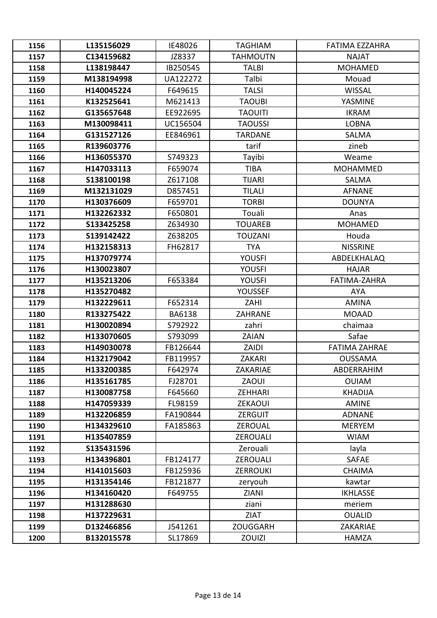| 1156 | L135156029 | IE48026       | <b>TAGHIAM</b>  | FATIMA EZZAHRA       |
|------|------------|---------------|-----------------|----------------------|
| 1157 | C134159682 | JZ8337        | <b>TAHMOUTN</b> | <b>NAJAT</b>         |
| 1158 | L138198447 | IB250545      | <b>TALBI</b>    | <b>MOHAMED</b>       |
| 1159 | M138194998 | UA122272      | Talbi           | Mouad                |
| 1160 | H140045224 | F649615       | <b>TALSI</b>    | <b>WISSAL</b>        |
| 1161 | K132525641 | M621413       | <b>TAOUBI</b>   | YASMINE              |
| 1162 | G135657648 | EE922695      | <b>TAOUITI</b>  | <b>IKRAM</b>         |
| 1163 | M130098411 | UC156504      | <b>TAOUSSI</b>  | <b>LOBNA</b>         |
| 1164 | G131527126 | EE846961      | <b>TARDANE</b>  | <b>SALMA</b>         |
| 1165 | R139603776 |               | tarif           | zineb                |
| 1166 | H136055370 | S749323       | Tayibi          | Weame                |
| 1167 | H147033113 | F659074       | <b>TIBA</b>     | <b>MOHAMMED</b>      |
| 1168 | S138100198 | Z617108       | <b>TIJARI</b>   | <b>SALMA</b>         |
| 1169 | M132131029 | D857451       | <b>TILALI</b>   | <b>AFNANE</b>        |
| 1170 | H130376609 | F659701       | <b>TORBI</b>    | <b>DOUNYA</b>        |
| 1171 | H132262332 | F650801       | Touali          | Anas                 |
| 1172 | S133425258 | Z634930       | <b>TOUAREB</b>  | <b>MOHAMED</b>       |
| 1173 | S139142422 | Z638205       | <b>TOUZANI</b>  | Houda                |
| 1174 | H132158313 | FH62817       | <b>TYA</b>      | <b>NISSRINE</b>      |
| 1175 | H137079774 |               | <b>YOUSFI</b>   | <b>ABDELKHALAQ</b>   |
| 1176 | H130023807 |               | <b>YOUSFI</b>   | <b>HAJAR</b>         |
| 1177 | H135213206 | F653384       | <b>YOUSFI</b>   | <b>FATIMA-ZAHRA</b>  |
| 1178 | H135270482 |               | YOUSSEF         | <b>AYA</b>           |
| 1179 | H132229611 | F652314       | ZAHI            | <b>AMINA</b>         |
| 1180 | R133275422 | <b>BA6138</b> | <b>ZAHRANE</b>  | <b>MOAAD</b>         |
| 1181 | H130020894 | S792922       | zahri           | chaimaa              |
| 1182 | H133070605 | S793099       | ZAIAN           | Safae                |
| 1183 | H149030078 | FB126644      | ZAIDI           | <b>FATIMA ZAHRAE</b> |
| 1184 | H132179042 | FB119957      | <b>ZAKARI</b>   | <b>OUSSAMA</b>       |
| 1185 | H133200385 | F642974       | ZAKARIAE        | ABDERRAHIM           |
| 1186 | H135161785 | FJ28701       | ZAOUI           | <b>OUIAM</b>         |
| 1187 | H130087758 | F645660       | <b>ZEHHARI</b>  | <b>KHADIJA</b>       |
| 1188 | H147059339 | FL98159       | <b>ZEKAOUI</b>  | <b>AMINE</b>         |
| 1189 | H132206859 | FA190844      | ZERGUIT         | <b>ADNANE</b>        |
| 1190 | H134329610 | FA185863      | ZEROUAL         | <b>MERYEM</b>        |
| 1191 | H135407859 |               | <b>ZEROUALI</b> | <b>WIAM</b>          |
| 1192 | S135431596 |               | Zerouali        | layla                |
| 1193 | H134396801 | FB124177      | <b>ZEROUALI</b> | <b>SAFAE</b>         |
| 1194 | H141015603 | FB125936      | <b>ZERROUKI</b> | <b>CHAIMA</b>        |
| 1195 | H131354146 | FB121877      | zeryouh         | kawtar               |
| 1196 | H134160420 | F649755       | <b>ZIANI</b>    | <b>IKHLASSE</b>      |
| 1197 | H131288630 |               | ziani           | meriem               |
| 1198 | H137229631 |               | <b>ZIAT</b>     | <b>OUALID</b>        |
| 1199 | D132466856 | J541261       | <b>ZOUGGARH</b> | ZAKARIAE             |
| 1200 | B132015578 | SL17869       | <b>ZOUIZI</b>   | <b>HAMZA</b>         |